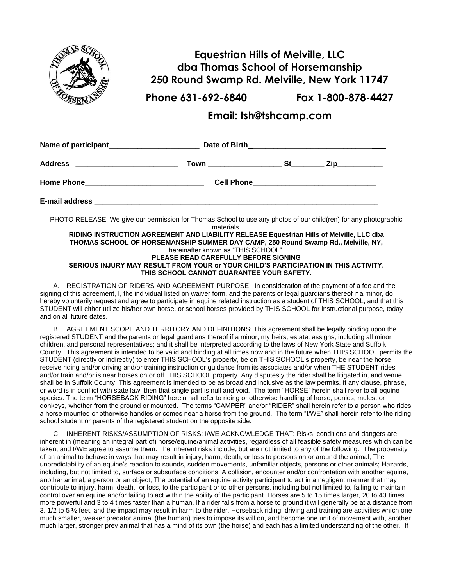

## **Equestrian Hills of Melville, LLC dba Thomas School of Horsemanship 250 Round Swamp Rd. Melville, New York 11747**

**Phone 631-692-6840 Fax 1-800-878-4427**

## **Email: tsh@tshcamp.com**

| PHOTO RELEASE: We give our permission for Thomas School to use any photos of our child(ren) for any photographic | materials. |  |  |
|------------------------------------------------------------------------------------------------------------------|------------|--|--|

**RIDING INSTRUCTION AGREEMENT AND LIABILITY RELEASE Equestrian Hills of Melville, LLC dba THOMAS SCHOOL OF HORSEMANSHIP SUMMER DAY CAMP, 250 Round Swamp Rd., Melville, NY,** hereinafter known as "THIS SCHOOL" **PLEASE READ CAREFULLY BEFORE SIGNING SERIOUS INJURY MAY RESULT FROM YOUR or YOUR CHILD'S PARTICIPATION IN THIS ACTIVITY. THIS SCHOOL CANNOT GUARANTEE YOUR SAFETY.**

A. REGISTRATION OF RIDERS AND AGREEMENT PURPOSE: In consideration of the payment of a fee and the signing of this agreement, I, the individual listed on waiver form, and the parents or legal guardians thereof if a minor, do hereby voluntarily request and agree to participate in equine related instruction as a student of THIS SCHOOL, and that this STUDENT will either utilize his/her own horse, or school horses provided by THIS SCHOOL for instructional purpose, today and on all future dates.

B. AGREEMENT SCOPE AND TERRITORY AND DEFINITIONS: This agreement shall be legally binding upon the registered STUDENT and the parents or legal guardians thereof if a minor, my heirs, estate, assigns, including all minor children, and personal representatives; and it shall be interpreted according to the laws of New York State and Suffolk County. This agreement is intended to be valid and binding at all times now and in the future when THIS SCHOOL permits the STUDENT (directly or indirectly) to enter THIS SCHOOL's property, be on THIS SCHOOL's property, be near the horse, receive riding and/or driving and/or training instruction or guidance from its associates and/or when THE STUDENT rides and/or train and/or is near horses on or off THIS SCHOOL property. Any disputes y the rider shall be litigated in, and venue shall be in Suffolk County. This agreement is intended to be as broad and inclusive as the law permits. If any clause, phrase, or word is in conflict with state law, then that single part is null and void. The term "HORSE" herein shall refer to all equine species. The term "HORSEBACK RIDING" herein hall refer to riding or otherwise handling of horse, ponies, mules, or donkeys, whether from the ground or mounted. The terms "CAMPER" and/or "RIDER" shall herein refer to a person who rides a horse mounted or otherwise handles or comes near a horse from the ground. The term "I/WE" shall herein refer to the riding school student or parents of the registered student on the opposite side.

C. INHERENT RISKS/ASSUMPTION OF RISKS: I/WE ACKNOWLEDGE THAT: Risks, conditions and dangers are inherent in (meaning an integral part of) horse/equine/animal activities, regardless of all feasible safety measures which can be taken, and I/WE agree to assume them. The inherent risks include, but are not limited to any of the following: The propensity of an animal to behave in ways that may result in injury, harm, death, or loss to persons on or around the animal; The unpredictability of an equine's reaction to sounds, sudden movements, unfamiliar objects, persons or other animals; Hazards, including, but not limited to, surface or subsurface conditions; A collision, encounter and/or confrontation with another equine, another animal, a person or an object; The potential of an equine activity participant to act in a negligent manner that may contribute to injury, harm, death, or loss, to the participant or to other persons, including but not limited to, failing to maintain control over an equine and/or failing to act within the ability of the participant. Horses are 5 to 15 times larger, 20 to 40 times more powerful and 3 to 4 times faster than a human. If a rider falls from a horse to ground it will generally be at a distance from 3. 1/2 to 5 ½ feet, and the impact may result in harm to the rider. Horseback riding, driving and training are activities which one much smaller, weaker predator animal (the human) tries to impose its will on, and become one unit of movement with, another much larger, stronger prey animal that has a mind of its own (the horse) and each has a limited understanding of the other. If